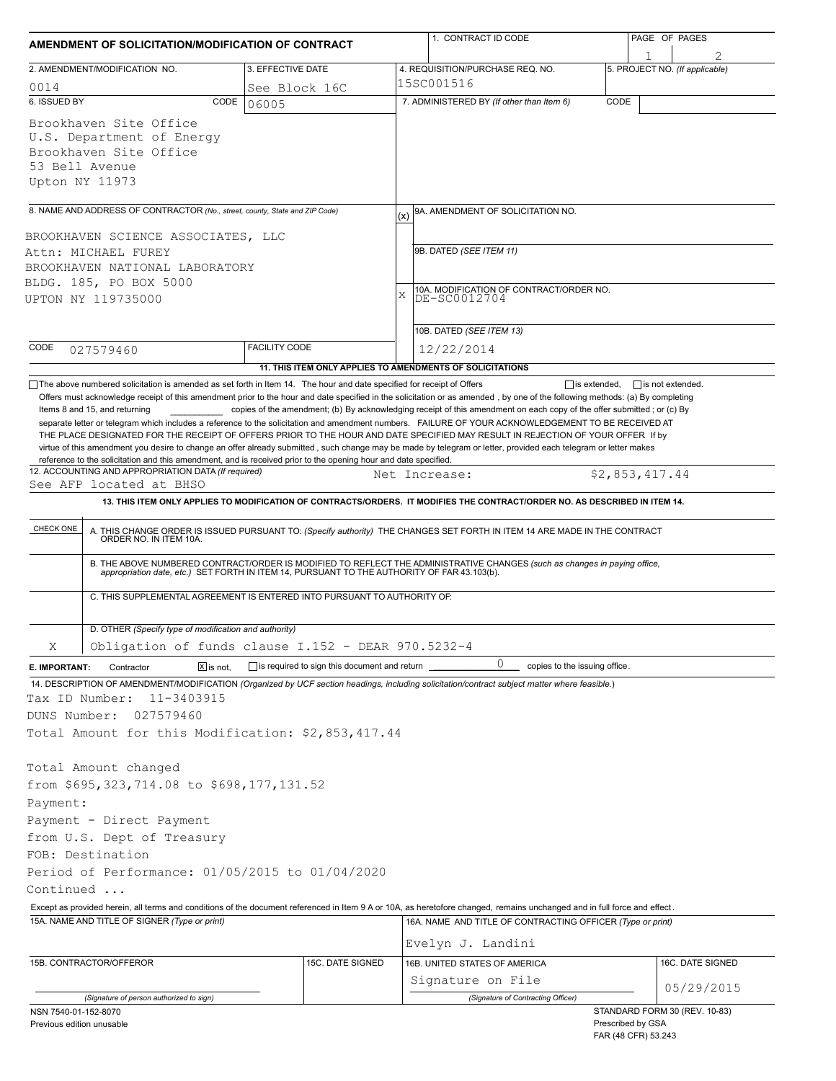| AMENDMENT OF SOLICITATION/MODIFICATION OF CONTRACT                                                                                                                                                                                                                                                                                                                   |                                                                          |     | 1. CONTRACT ID CODE                                                                                                                                                                                                   |                                          | PAGE OF PAGES                  |  |  |  |
|----------------------------------------------------------------------------------------------------------------------------------------------------------------------------------------------------------------------------------------------------------------------------------------------------------------------------------------------------------------------|--------------------------------------------------------------------------|-----|-----------------------------------------------------------------------------------------------------------------------------------------------------------------------------------------------------------------------|------------------------------------------|--------------------------------|--|--|--|
| 2. AMENDMENT/MODIFICATION NO.                                                                                                                                                                                                                                                                                                                                        | 3. EFFECTIVE DATE                                                        |     | 4. REQUISITION/PURCHASE REQ. NO.                                                                                                                                                                                      |                                          | 5. PROJECT NO. (If applicable) |  |  |  |
| 0014                                                                                                                                                                                                                                                                                                                                                                 | See Block 16C                                                            |     | 15SC001516                                                                                                                                                                                                            |                                          |                                |  |  |  |
| 6. ISSUED BY<br>CODE                                                                                                                                                                                                                                                                                                                                                 | 06005                                                                    |     | 7. ADMINISTERED BY (If other than Item 6)                                                                                                                                                                             | CODE                                     |                                |  |  |  |
| Brookhaven Site Office<br>U.S. Department of Energy<br>Brookhaven Site Office<br>53 Bell Avenue<br>Upton NY 11973                                                                                                                                                                                                                                                    |                                                                          |     |                                                                                                                                                                                                                       |                                          |                                |  |  |  |
| 8. NAME AND ADDRESS OF CONTRACTOR (No., street, county, State and ZIP Code)                                                                                                                                                                                                                                                                                          |                                                                          | (x) | 9A. AMENDMENT OF SOLICITATION NO.                                                                                                                                                                                     |                                          |                                |  |  |  |
|                                                                                                                                                                                                                                                                                                                                                                      |                                                                          |     |                                                                                                                                                                                                                       |                                          |                                |  |  |  |
| BROOKHAVEN SCIENCE ASSOCIATES, LLC<br>Attn: MICHAEL FUREY                                                                                                                                                                                                                                                                                                            |                                                                          |     | 9B. DATED (SEE ITEM 11)                                                                                                                                                                                               |                                          |                                |  |  |  |
| BROOKHAVEN NATIONAL LABORATORY                                                                                                                                                                                                                                                                                                                                       |                                                                          |     |                                                                                                                                                                                                                       |                                          |                                |  |  |  |
| BLDG. 185, PO BOX 5000                                                                                                                                                                                                                                                                                                                                               |                                                                          |     |                                                                                                                                                                                                                       |                                          |                                |  |  |  |
| UPTON NY 119735000                                                                                                                                                                                                                                                                                                                                                   |                                                                          | X   | 10A. MODIFICATION OF CONTRACT/ORDER NO.<br>DE-SC0012704                                                                                                                                                               |                                          |                                |  |  |  |
|                                                                                                                                                                                                                                                                                                                                                                      |                                                                          |     |                                                                                                                                                                                                                       |                                          |                                |  |  |  |
|                                                                                                                                                                                                                                                                                                                                                                      |                                                                          |     | 10B. DATED (SEE ITEM 13)                                                                                                                                                                                              |                                          |                                |  |  |  |
| CODE<br>027579460                                                                                                                                                                                                                                                                                                                                                    | <b>FACILITY CODE</b>                                                     |     | 12/22/2014                                                                                                                                                                                                            |                                          |                                |  |  |  |
|                                                                                                                                                                                                                                                                                                                                                                      |                                                                          |     | 11. THIS ITEM ONLY APPLIES TO AMENDMENTS OF SOLICITATIONS                                                                                                                                                             |                                          |                                |  |  |  |
| virtue of this amendment you desire to change an offer already submitted, such change may be made by telegram or letter, provided each telegram or letter makes<br>reference to the solicitation and this amendment, and is received prior to the opening hour and date specified.<br>12. ACCOUNTING AND APPROPRIATION DATA (If required)<br>See AFP located at BHSO |                                                                          |     | Net Increase:<br>13. THIS ITEM ONLY APPLIES TO MODIFICATION OF CONTRACTS/ORDERS. IT MODIFIES THE CONTRACT/ORDER NO. AS DESCRIBED IN ITEM 14.                                                                          | \$2,853,417.44                           |                                |  |  |  |
|                                                                                                                                                                                                                                                                                                                                                                      |                                                                          |     |                                                                                                                                                                                                                       |                                          |                                |  |  |  |
| CHECK ONE                                                                                                                                                                                                                                                                                                                                                            |                                                                          |     | A. THIS CHANGE ORDER IS ISSUED PURSUANT TO: (Specify authority) THE CHANGES SET FORTH IN ITEM 14 ARE MADE IN THE CONTRACT ORDER NO. IN ITEM 10A.                                                                      |                                          |                                |  |  |  |
|                                                                                                                                                                                                                                                                                                                                                                      |                                                                          |     | B. THE ABOVE NUMBERED CONTRACT/ORDER IS MODIFIED TO REFLECT THE ADMINISTRATIVE CHANGES (such as changes in paying office, appropriation date, etc.) SET FORTH IN ITEM 14, PURSUANT TO THE AUTHORITY OF FAR 43.103(b). |                                          |                                |  |  |  |
|                                                                                                                                                                                                                                                                                                                                                                      | C. THIS SUPPLEMENTAL AGREEMENT IS ENTERED INTO PURSUANT TO AUTHORITY OF: |     |                                                                                                                                                                                                                       |                                          |                                |  |  |  |
| D. OTHER (Specify type of modification and authority)                                                                                                                                                                                                                                                                                                                |                                                                          |     |                                                                                                                                                                                                                       |                                          |                                |  |  |  |
| Χ                                                                                                                                                                                                                                                                                                                                                                    | Obligation of funds clause I.152 - DEAR 970.5232-4                       |     |                                                                                                                                                                                                                       |                                          |                                |  |  |  |
| Contractor<br>$X$ is not.<br>E. IMPORTANT:                                                                                                                                                                                                                                                                                                                           | $\Box$ is required to sign this document and return                      |     | 0<br>copies to the issuing office.                                                                                                                                                                                    |                                          |                                |  |  |  |
| 14. DESCRIPTION OF AMENDMENT/MODIFICATION (Organized by UCF section headings, including solicitation/contract subject matter where feasible.)                                                                                                                                                                                                                        |                                                                          |     |                                                                                                                                                                                                                       |                                          |                                |  |  |  |
| Tax ID Number:<br>11-3403915                                                                                                                                                                                                                                                                                                                                         |                                                                          |     |                                                                                                                                                                                                                       |                                          |                                |  |  |  |
| DUNS Number:<br>027579460                                                                                                                                                                                                                                                                                                                                            |                                                                          |     |                                                                                                                                                                                                                       |                                          |                                |  |  |  |
| Total Amount for this Modification: \$2,853,417.44                                                                                                                                                                                                                                                                                                                   |                                                                          |     |                                                                                                                                                                                                                       |                                          |                                |  |  |  |
|                                                                                                                                                                                                                                                                                                                                                                      |                                                                          |     |                                                                                                                                                                                                                       |                                          |                                |  |  |  |
| Total Amount changed                                                                                                                                                                                                                                                                                                                                                 |                                                                          |     |                                                                                                                                                                                                                       |                                          |                                |  |  |  |
| from \$695,323,714.08 to \$698,177,131.52                                                                                                                                                                                                                                                                                                                            |                                                                          |     |                                                                                                                                                                                                                       |                                          |                                |  |  |  |
| Payment:                                                                                                                                                                                                                                                                                                                                                             |                                                                          |     |                                                                                                                                                                                                                       |                                          |                                |  |  |  |
| Payment - Direct Payment                                                                                                                                                                                                                                                                                                                                             |                                                                          |     |                                                                                                                                                                                                                       |                                          |                                |  |  |  |
| from U.S. Dept of Treasury                                                                                                                                                                                                                                                                                                                                           |                                                                          |     |                                                                                                                                                                                                                       |                                          |                                |  |  |  |
| FOB: Destination                                                                                                                                                                                                                                                                                                                                                     |                                                                          |     |                                                                                                                                                                                                                       |                                          |                                |  |  |  |
| Period of Performance: 01/05/2015 to 01/04/2020                                                                                                                                                                                                                                                                                                                      |                                                                          |     |                                                                                                                                                                                                                       |                                          |                                |  |  |  |
| Continued                                                                                                                                                                                                                                                                                                                                                            |                                                                          |     |                                                                                                                                                                                                                       |                                          |                                |  |  |  |
| Except as provided herein, all terms and conditions of the document referenced in Item 9 A or 10A, as heretofore changed, remains unchanged and in full force and effect.                                                                                                                                                                                            |                                                                          |     |                                                                                                                                                                                                                       |                                          |                                |  |  |  |
| 15A. NAME AND TITLE OF SIGNER (Type or print)                                                                                                                                                                                                                                                                                                                        |                                                                          |     | 16A. NAME AND TITLE OF CONTRACTING OFFICER (Type or print)                                                                                                                                                            |                                          |                                |  |  |  |
|                                                                                                                                                                                                                                                                                                                                                                      |                                                                          |     | Evelyn J. Landini                                                                                                                                                                                                     |                                          |                                |  |  |  |
| 15B. CONTRACTOR/OFFEROR                                                                                                                                                                                                                                                                                                                                              | 15C. DATE SIGNED                                                         |     | 16B. UNITED STATES OF AMERICA                                                                                                                                                                                         |                                          | 16C. DATE SIGNED               |  |  |  |
|                                                                                                                                                                                                                                                                                                                                                                      |                                                                          |     | Signature on File                                                                                                                                                                                                     |                                          | 05/29/2015                     |  |  |  |
| (Signature of person authorized to sign)                                                                                                                                                                                                                                                                                                                             |                                                                          |     | (Signature of Contracting Officer)                                                                                                                                                                                    |                                          |                                |  |  |  |
| NSN 7540-01-152-8070                                                                                                                                                                                                                                                                                                                                                 |                                                                          |     |                                                                                                                                                                                                                       |                                          | STANDARD FORM 30 (REV. 10-83)  |  |  |  |
| Previous edition unusable                                                                                                                                                                                                                                                                                                                                            |                                                                          |     |                                                                                                                                                                                                                       | Prescribed by GSA<br>FAR (48 CFR) 53.243 |                                |  |  |  |